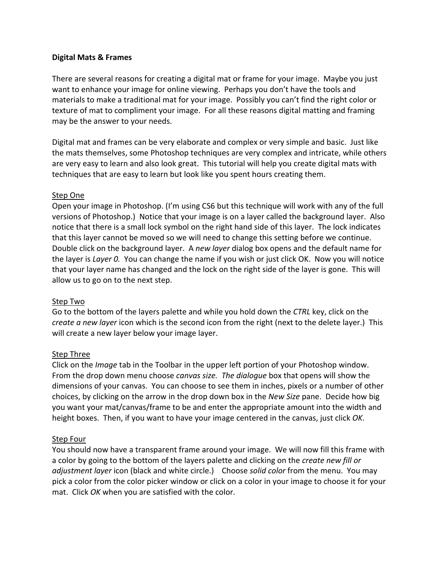## **Digital Mats & Frames**

There are several reasons for creating a digital mat or frame for your image. Maybe you just want to enhance your image for online viewing. Perhaps you don't have the tools and materials to make a traditional mat for your image. Possibly you can't find the right color or texture of mat to compliment your image. For all these reasons digital matting and framing may be the answer to your needs.

Digital mat and frames can be very elaborate and complex or very simple and basic. Just like the mats themselves, some Photoshop techniques are very complex and intricate, while others are very easy to learn and also look great. This tutorial will help you create digital mats with techniques that are easy to learn but look like you spent hours creating them.

## Step One

Open your image in Photoshop. (I'm using CS6 but this technique will work with any of the full versions of Photoshop.) Notice that your image is on a layer called the background layer. Also notice that there is a small lock symbol on the right hand side of this layer. The lock indicates that this layer cannot be moved so we will need to change this setting before we continue. Double click on the background layer. A *new layer* dialog box opens and the default name for the layer is *Layer 0.* You can change the name if you wish or just click OK. Now you will notice that your layer name has changed and the lock on the right side of the layer is gone. This will allow us to go on to the next step.

## Step Two

Go to the bottom of the layers palette and while you hold down the *CTRL* key, click on the *create a new layer* icon which is the second icon from the right (next to the delete layer.) This will create a new layer below your image layer.

## Step Three

Click on the *Image* tab in the Toolbar in the upper left portion of your Photoshop window. From the drop down menu choose *canvas size. The dialogue* box that opens will show the dimensions of your canvas. You can choose to see them in inches, pixels or a number of other choices, by clicking on the arrow in the drop down box in the *New Size* pane. Decide how big you want your mat/canvas/frame to be and enter the appropriate amount into the width and height boxes. Then, if you want to have your image centered in the canvas, just click *OK*.

#### Step Four

You should now have a transparent frame around your image. We will now fill this frame with a color by going to the bottom of the layers palette and clicking on the *create new fill or adjustment layer* icon (black and white circle.) Choose *solid color* from the menu. You may pick a color from the color picker window or click on a color in your image to choose it for your mat. Click *OK* when you are satisfied with the color.